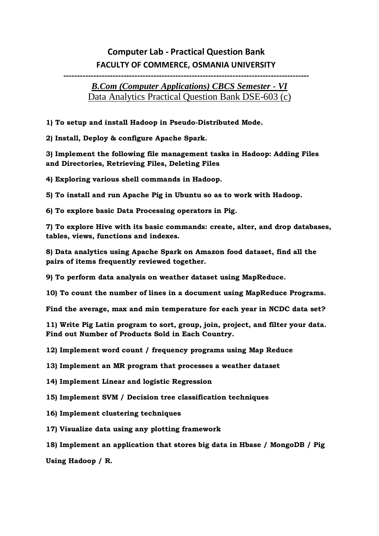## **Computer Lab - Practical Question Bank FACULTY OF COMMERCE, OSMANIA UNIVERSITY**

## **------------------------------------------------------------------------------------------**

## *B.Com (Computer Applications) CBCS Semester - VI* Data Analytics Practical Question Bank DSE-603 (c)

- **1) To setup and install Hadoop in Pseudo-Distributed Mode.**
- **2) Install, Deploy & configure Apache Spark.**

**3) Implement the following file management tasks in Hadoop: Adding Files and Directories, Retrieving Files, Deleting Files**

**4) Exploring various shell commands in Hadoop.**

**5) To install and run Apache Pig in Ubuntu so as to work with Hadoop.**

**6) To explore basic Data Processing operators in Pig.**

**7) To explore Hive with its basic commands: create, alter, and drop databases, tables, views, functions and indexes.**

**8) Data analytics using Apache Spark on Amazon food dataset, find all the pairs of items frequently reviewed together.**

**9) To perform data analysis on weather dataset using MapReduce.**

**10) To count the number of lines in a document using MapReduce Programs.**

**Find the average, max and min temperature for each year in NCDC data set?**

**11) Write Pig Latin program to sort, group, join, project, and filter your data. Find out Number of Products Sold in Each Country.**

**12) Implement word count / frequency programs using Map Reduce**

**13) Implement an MR program that processes a weather dataset**

- **14) Implement Linear and logistic Regression**
- **15) Implement SVM / Decision tree classification techniques**
- **16) Implement clustering techniques**
- **17) Visualize data using any plotting framework**
- **18) Implement an application that stores big data in Hbase / MongoDB / Pig**

**Using Hadoop / R.**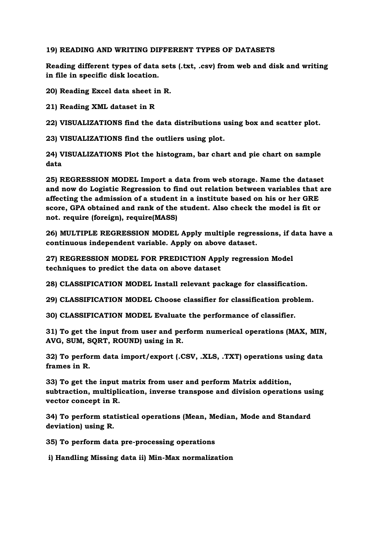## **19) READING AND WRITING DIFFERENT TYPES OF DATASETS**

**Reading different types of data sets (.txt, .csv) from web and disk and writing in file in specific disk location.**

**20) Reading Excel data sheet in R.**

**21) Reading XML dataset in R**

**22) VISUALIZATIONS find the data distributions using box and scatter plot.**

**23) VISUALIZATIONS find the outliers using plot.**

**24) VISUALIZATIONS Plot the histogram, bar chart and pie chart on sample data**

**25) REGRESSION MODEL Import a data from web storage. Name the dataset and now do Logistic Regression to find out relation between variables that are affecting the admission of a student in a institute based on his or her GRE score, GPA obtained and rank of the student. Also check the model is fit or not. require (foreign), require(MASS)**

**26) MULTIPLE REGRESSION MODEL Apply multiple regressions, if data have a continuous independent variable. Apply on above dataset.**

**27) REGRESSION MODEL FOR PREDICTION Apply regression Model techniques to predict the data on above dataset**

**28) CLASSIFICATION MODEL Install relevant package for classification.**

**29) CLASSIFICATION MODEL Choose classifier for classification problem.**

**30) CLASSIFICATION MODEL Evaluate the performance of classifier.**

**31) To get the input from user and perform numerical operations (MAX, MIN, AVG, SUM, SQRT, ROUND) using in R.**

**32) To perform data import/export (.CSV, .XLS, .TXT) operations using data frames in R.**

**33) To get the input matrix from user and perform Matrix addition, subtraction, multiplication, inverse transpose and division operations using vector concept in R.**

**34) To perform statistical operations (Mean, Median, Mode and Standard deviation) using R.**

**35) To perform data pre-processing operations**

**i) Handling Missing data ii) Min-Max normalization**